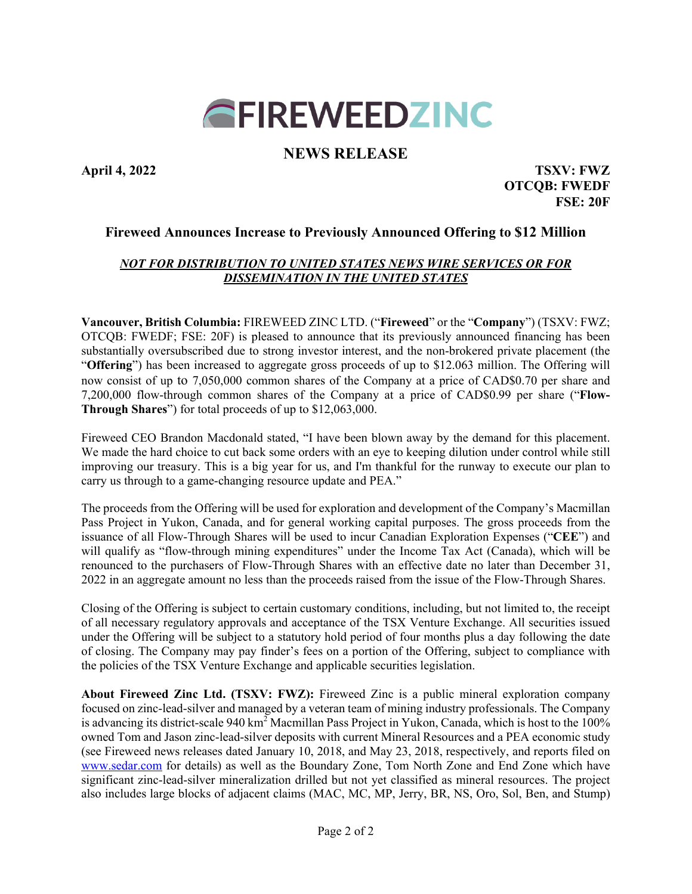# **GFIREWEEDZINC**

# **NEWS RELEASE**

**April 4, 2022 TSXV: FWZ OTCQB: FWEDF FSE: 20F**

# **Fireweed Announces Increase to Previously Announced Offering to \$12 Million**

## *NOT FOR DISTRIBUTION TO UNITED STATES NEWS WIRE SERVICES OR FOR DISSEMINATION IN THE UNITED STATES*

**Vancouver, British Columbia:** FIREWEED ZINC LTD. ("**Fireweed**" or the "**Company**") (TSXV: FWZ; OTCQB: FWEDF; FSE: 20F) is pleased to announce that its previously announced financing has been substantially oversubscribed due to strong investor interest, and the non-brokered private placement (the "**Offering**") has been increased to aggregate gross proceeds of up to \$12.063 million. The Offering will now consist of up to 7,050,000 common shares of the Company at a price of CAD\$0.70 per share and 7,200,000 flow-through common shares of the Company at a price of CAD\$0.99 per share ("**Flow-Through Shares**") for total proceeds of up to \$12,063,000.

Fireweed CEO Brandon Macdonald stated, "I have been blown away by the demand for this placement. We made the hard choice to cut back some orders with an eye to keeping dilution under control while still improving our treasury. This is a big year for us, and I'm thankful for the runway to execute our plan to carry us through to a game-changing resource update and PEA."

The proceeds from the Offering will be used for exploration and development of the Company's Macmillan Pass Project in Yukon, Canada, and for general working capital purposes. The gross proceeds from the issuance of all Flow-Through Shares will be used to incur Canadian Exploration Expenses ("**CEE**") and will qualify as "flow-through mining expenditures" under the Income Tax Act (Canada), which will be renounced to the purchasers of Flow-Through Shares with an effective date no later than December 31, 2022 in an aggregate amount no less than the proceeds raised from the issue of the Flow-Through Shares.

Closing of the Offering is subject to certain customary conditions, including, but not limited to, the receipt of all necessary regulatory approvals and acceptance of the TSX Venture Exchange. All securities issued under the Offering will be subject to a statutory hold period of four months plus a day following the date of closing. The Company may pay finder's fees on a portion of the Offering, subject to compliance with the policies of the TSX Venture Exchange and applicable securities legislation.

**About Fireweed Zinc Ltd. (TSXV: FWZ):** Fireweed Zinc is a public mineral exploration company focused on zinc-lead-silver and managed by a veteran team of mining industry professionals. The Company is advancing its district-scale 940 km<sup>2</sup> Macmillan Pass Project in Yukon, Canada, which is host to the 100% owned Tom and Jason zinc-lead-silver deposits with current Mineral Resources and a PEA economic study (see Fireweed news releases dated January 10, 2018, and May 23, 2018, respectively, and reports filed on [www.sedar.com](about:blank) for details) as well as the Boundary Zone, Tom North Zone and End Zone which have significant zinc-lead-silver mineralization drilled but not yet classified as mineral resources. The project also includes large blocks of adjacent claims (MAC, MC, MP, Jerry, BR, NS, Oro, Sol, Ben, and Stump)